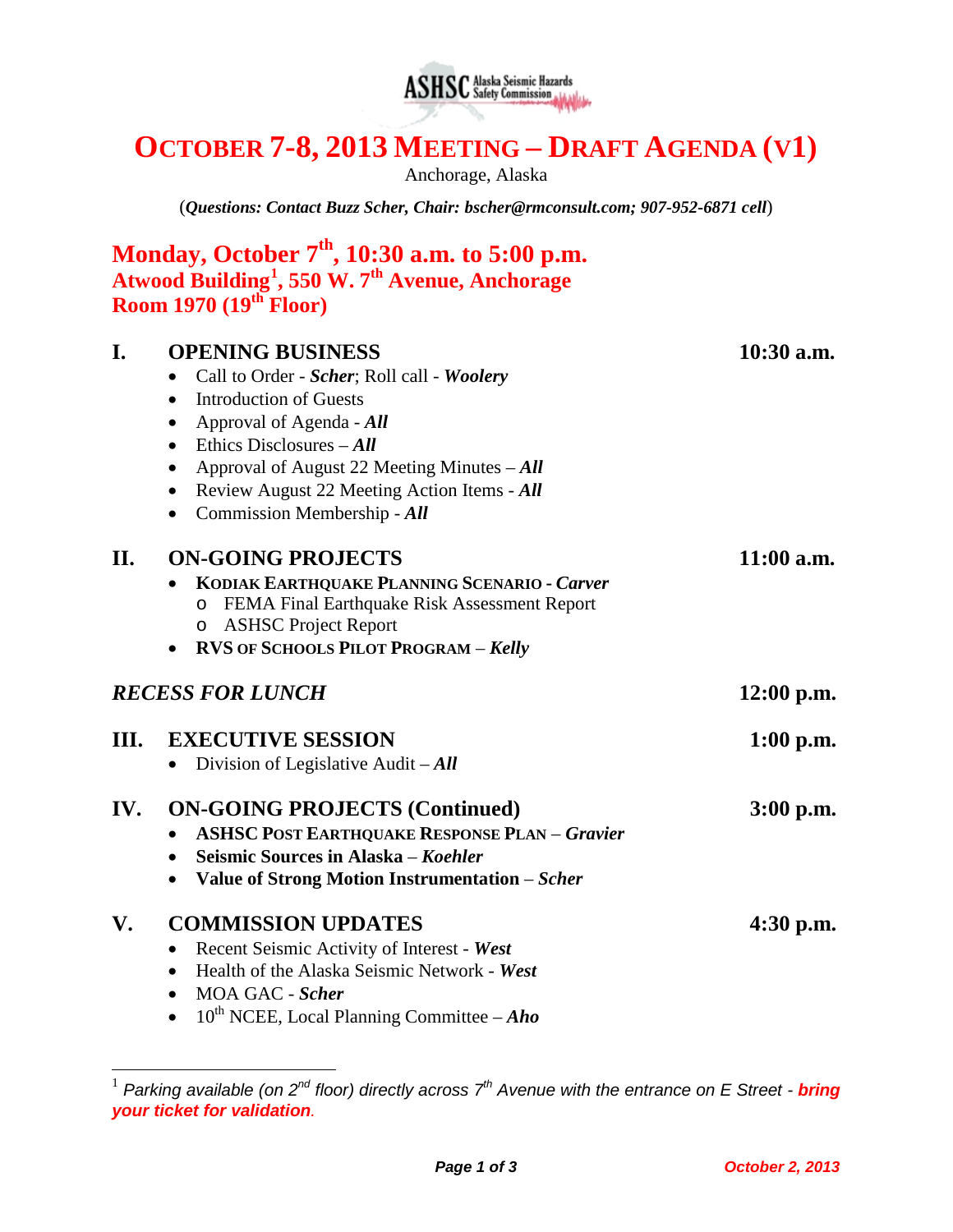

# **OCTOBER 7-8, 2013 MEETING – DRAFT AGENDA (V1)**

Anchorage, Alaska

(*Questions: Contact Buzz Scher, Chair: [bscher@rmconsult.com;](mailto:bscher@rmconsult.com) 907-952-6871 cell*)

|                         | Monday, October $7th$ , 10:30 a.m. to 5:00 p.m.<br>Atwood Building <sup>1</sup> , 550 W. 7 <sup>th</sup> Avenue, Anchorage<br>Room 1970 $(19th$ Floor)                                                                                                                                                                                                         |              |
|-------------------------|----------------------------------------------------------------------------------------------------------------------------------------------------------------------------------------------------------------------------------------------------------------------------------------------------------------------------------------------------------------|--------------|
| I.                      | <b>OPENING BUSINESS</b><br>Call to Order - Scher; Roll call - Woolery<br><b>Introduction of Guests</b><br>$\bullet$<br>Approval of Agenda - All<br>Ethics Disclosures $-All$<br>$\bullet$<br>Approval of August 22 Meeting Minutes $-All$<br>$\bullet$<br>Review August 22 Meeting Action Items - All<br>$\bullet$<br>Commission Membership - All<br>$\bullet$ | $10:30$ a.m. |
| II.                     | <b>ON-GOING PROJECTS</b><br>KODIAK EARTHQUAKE PLANNING SCENARIO - Carver<br>o FEMA Final Earthquake Risk Assessment Report<br>o ASHSC Project Report<br><b>RVS OF SCHOOLS PILOT PROGRAM - Kelly</b>                                                                                                                                                            | $11:00$ a.m. |
| <b>RECESS FOR LUNCH</b> |                                                                                                                                                                                                                                                                                                                                                                | $12:00$ p.m. |
| III.                    | <b>EXECUTIVE SESSION</b><br>Division of Legislative Audit $-All$<br>$\bullet$                                                                                                                                                                                                                                                                                  | $1:00$ p.m.  |
| IV.                     | <b>ON-GOING PROJECTS (Continued)</b><br><b>ASHSC POST EARTHQUAKE RESPONSE PLAN - Gravier</b><br>Seismic Sources in Alaska – Koehler<br>Value of Strong Motion Instrumentation - Scher<br>$\bullet$                                                                                                                                                             | $3:00$ p.m.  |
| V.                      | <b>COMMISSION UPDATES</b><br>Recent Seismic Activity of Interest - West<br>$\bullet$<br>Health of the Alaska Seismic Network - West<br>MOA GAC - Scher<br>$\bullet$<br>$10^{th}$ NCEE, Local Planning Committee – Aho                                                                                                                                          | $4:30$ p.m.  |

<span id="page-0-0"></span> <sup>1</sup> *Parking available (on 2nd floor) directly across 7th Avenue with the entrance on E Street - bring your ticket for validation.*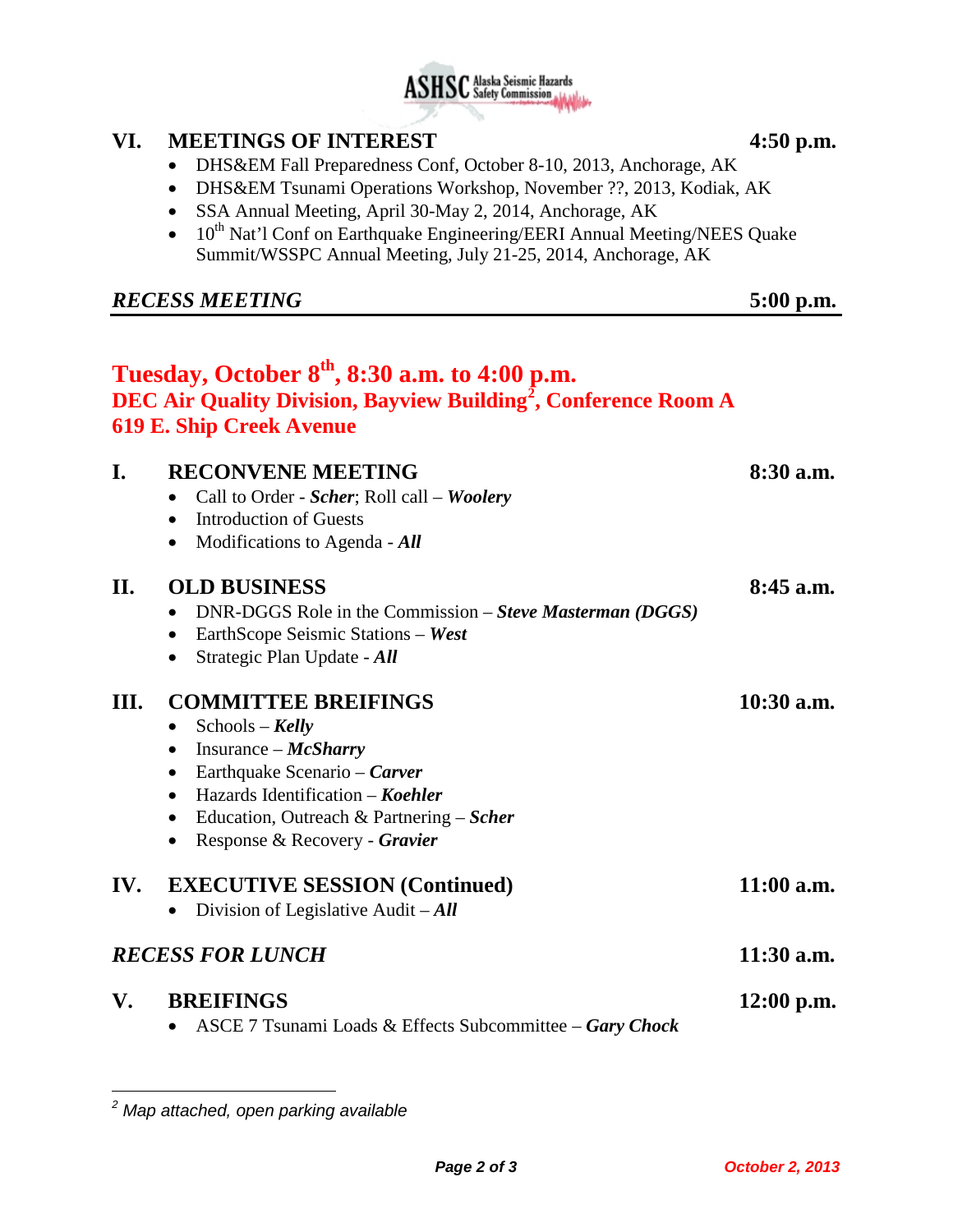

## **VI. MEETINGS OF INTEREST 4:50 p.m.**

- DHS&EM Fall Preparedness Conf, October 8-10, 2013, Anchorage, AK
- DHS&EM Tsunami Operations Workshop, November ??, 2013, Kodiak, AK
- SSA Annual Meeting, April 30-May 2, 2014, Anchorage, AK
- $10^{th}$  Nat'l Conf on Earthquake Engineering/EERI Annual Meeting/NEES Quake Summit/WSSPC Annual Meeting, July 21-25, 2014, Anchorage, AK

## *RECESS MEETING* **5:00 p.m.**

|      | Tuesday, October 8 <sup>th</sup> , 8:30 a.m. to 4:00 p.m.<br>DEC Air Quality Division, Bayview Building <sup>2</sup> , Conference Room A<br><b>619 E. Ship Creek Avenue</b>                                                                                                                 |              |
|------|---------------------------------------------------------------------------------------------------------------------------------------------------------------------------------------------------------------------------------------------------------------------------------------------|--------------|
| I.   | <b>RECONVENE MEETING</b><br>Call to Order - Scher; Roll call - Woolery<br><b>Introduction of Guests</b><br>$\bullet$<br>Modifications to Agenda - All<br>$\bullet$                                                                                                                          | $8:30$ a.m.  |
| П.   | <b>OLD BUSINESS</b><br>DNR-DGGS Role in the Commission – Steve Masterman (DGGS)<br>EarthScope Seismic Stations - West<br>$\bullet$<br>Strategic Plan Update - All<br>$\bullet$                                                                                                              | $8:45$ a.m.  |
| III. | <b>COMMITTEE BREIFINGS</b><br>$Schools - Kelly$<br>$\bullet$<br>Insurance $-McSharry$<br>$\bullet$<br>Earthquake Scenario – Carver<br>$\bullet$<br>Hazards Identification – Koehler<br>$\bullet$<br>Education, Outreach & Partnering $-Scher$<br>$\bullet$<br>Response & Recovery - Gravier | $10:30$ a.m. |
| IV.  | <b>EXECUTIVE SESSION (Continued)</b><br>Division of Legislative Audit $-All$                                                                                                                                                                                                                | $11:00$ a.m. |
|      | <b>RECESS FOR LUNCH</b>                                                                                                                                                                                                                                                                     | $11:30$ a.m. |
| V.   | <b>BREIFINGS</b><br>ASCE 7 Tsunami Loads & Effects Subcommittee – Gary Chock                                                                                                                                                                                                                | $12:00$ p.m. |

 $\overline{a}$ 

<span id="page-1-0"></span>*<sup>2</sup> Map attached, open parking available*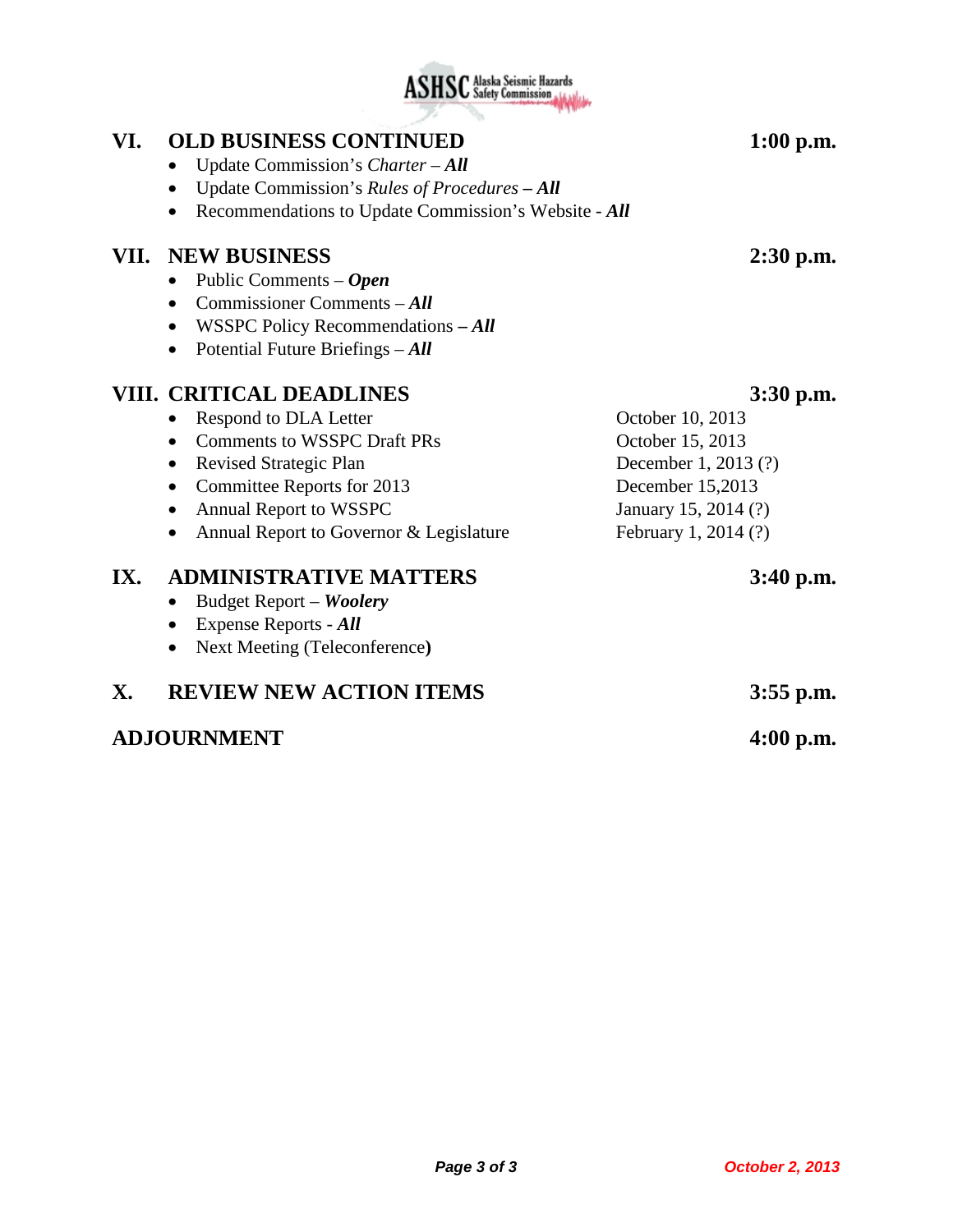## **VI. OLD BUSINESS CONTINUED 1:00 p.m.**

- Update Commission's *Charter All*
- Update Commission's *Rules of Procedures – All*
- Recommendations to Update Commission's Website *All*

### **VII. NEW BUSINESS 2:30 p.m.**

- Public Comments *Open*
- Commissioner Comments *All*
- WSSPC Policy Recommendations **–** *All*
- Potential Future Briefings *All*

## **VIII. CRITICAL DEADLINES 3:30 p.m.**

- Respond to DLA Letter **October 10, 2013** • Comments to WSSPC Draft PRs October 15, 2013 • Revised Strategic Plan December 1, 2013 (?) • Committee Reports for 2013 December 15,2013 • Annual Report to WSSPC January 15, 2014 (?) • Annual Report to Governor & Legislature February 1, 2014 (?) **IX. ADMINISTRATIVE MATTERS 3:40 p.m.** • Budget Report – *Woolery*
	- Expense Reports *All*
	- Next Meeting (Teleconference**)**

## **X. REVIEW NEW ACTION ITEMS 3:55 p.m.**

## **ADJOURNMENT 4:00 p.m.**

**ASHSC** Alaska Seismic Hazards